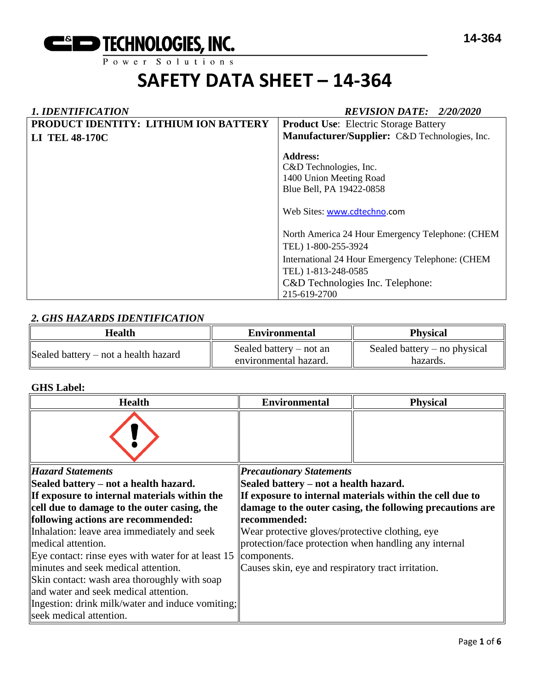

# **SAFETY DATA SHEET – 14-364**

| <b>1. IDENTIFICATION</b>              | <b>REVISION DATE: 2/20/2020</b>                                                                                                                                                                        |  |  |
|---------------------------------------|--------------------------------------------------------------------------------------------------------------------------------------------------------------------------------------------------------|--|--|
| PRODUCT IDENTITY: LITHIUM ION BATTERY | <b>Product Use:</b> Electric Storage Battery                                                                                                                                                           |  |  |
| <b>LI TEL 48-170C</b>                 | Manufacturer/Supplier: C&D Technologies, Inc.                                                                                                                                                          |  |  |
|                                       | <b>Address:</b><br>C&D Technologies, Inc.<br>1400 Union Meeting Road<br>Blue Bell, PA 19422-0858<br>Web Sites: www.cdtechno.com                                                                        |  |  |
|                                       | North America 24 Hour Emergency Telephone: (CHEM<br>TEL) 1-800-255-3924<br>International 24 Hour Emergency Telephone: (CHEM<br>TEL) 1-813-248-0585<br>C&D Technologies Inc. Telephone:<br>215-619-2700 |  |  |

# *2. GHS HAZARDS IDENTIFICATION*

| <b>Health</b>                        | <b>Environmental</b>                               | <b>Physical</b>                            |  |
|--------------------------------------|----------------------------------------------------|--------------------------------------------|--|
| Sealed battery – not a health hazard | Sealed battery $-$ not an<br>environmental hazard. | Sealed battery $-$ no physical<br>hazards. |  |

# **GHS Label:**

| <b>Health</b>                                        | <b>Environmental</b>                                  | <b>Physical</b>                                           |
|------------------------------------------------------|-------------------------------------------------------|-----------------------------------------------------------|
|                                                      |                                                       |                                                           |
| <b>Hazard Statements</b>                             | <b>Precautionary Statements</b>                       |                                                           |
| Sealed battery – not a health hazard.                | Sealed battery – not a health hazard.                 |                                                           |
| If exposure to internal materials within the         |                                                       | If exposure to internal materials within the cell due to  |
| cell due to damage to the outer casing, the          |                                                       | damage to the outer casing, the following precautions are |
| following actions are recommended:                   | recommended:                                          |                                                           |
| Inhalation: leave area immediately and seek          | Wear protective gloves/protective clothing, eye       |                                                           |
| medical attention.                                   | protection/face protection when handling any internal |                                                           |
| Eye contact: rinse eyes with water for at least $15$ | components.                                           |                                                           |
| minutes and seek medical attention.                  | Causes skin, eye and respiratory tract irritation.    |                                                           |
| Skin contact: wash area thoroughly with soap         |                                                       |                                                           |
| and water and seek medical attention.                |                                                       |                                                           |
| Ingestion: drink milk/water and induce vomiting;     |                                                       |                                                           |
| seek medical attention.                              |                                                       |                                                           |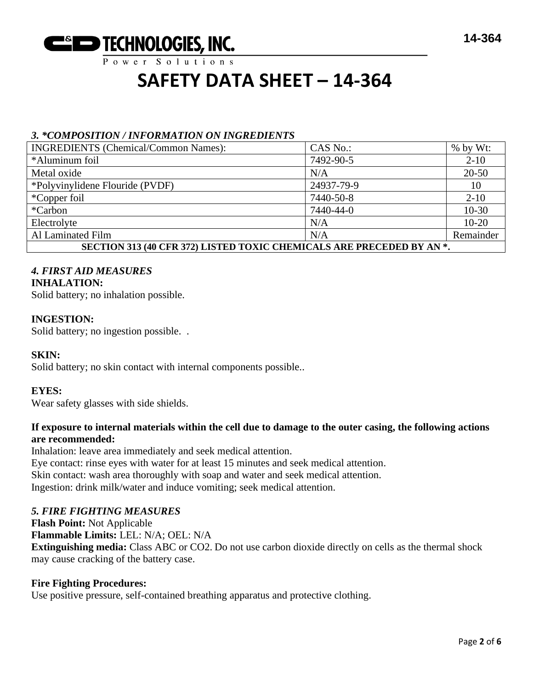

# $P$  ower Solutions

# **SAFETY DATA SHEET – 14-364**

# *3. \*COMPOSITION / INFORMATION ON INGREDIENTS*

| <b>INGREDIENTS</b> (Chemical/Common Names):                           | CAS No.:   | $%$ by Wt: |  |
|-----------------------------------------------------------------------|------------|------------|--|
| *Aluminum foil                                                        | 7492-90-5  | $2 - 10$   |  |
| Metal oxide                                                           | N/A        | $20 - 50$  |  |
| *Polyvinylidene Flouride (PVDF)                                       | 24937-79-9 | 10         |  |
| *Copper foil                                                          | 7440-50-8  | $2 - 10$   |  |
| *Carbon                                                               | 7440-44-0  | $10 - 30$  |  |
| Electrolyte                                                           | N/A        | $10-20$    |  |
| Al Laminated Film                                                     | N/A        | Remainder  |  |
| SECTION 313 (40 CFR 372) LISTED TOXIC CHEMICALS ARE PRECEDED BY AN *. |            |            |  |

# *4. FIRST AID MEASURES*

# **INHALATION:**

Solid battery; no inhalation possible.

# **INGESTION:**

Solid battery; no ingestion possible. .

# **SKIN:**

Solid battery; no skin contact with internal components possible..

# **EYES:**

Wear safety glasses with side shields.

# **If exposure to internal materials within the cell due to damage to the outer casing, the following actions are recommended:**

Inhalation: leave area immediately and seek medical attention. Eye contact: rinse eyes with water for at least 15 minutes and seek medical attention. Skin contact: wash area thoroughly with soap and water and seek medical attention. Ingestion: drink milk/water and induce vomiting; seek medical attention.

# *5. FIRE FIGHTING MEASURES*

**Flash Point:** Not Applicable **Flammable Limits:** LEL: N/A; OEL: N/A **Extinguishing media:** Class ABC or CO2. Do not use carbon dioxide directly on cells as the thermal shock may cause cracking of the battery case.

# **Fire Fighting Procedures:**

Use positive pressure, self-contained breathing apparatus and protective clothing.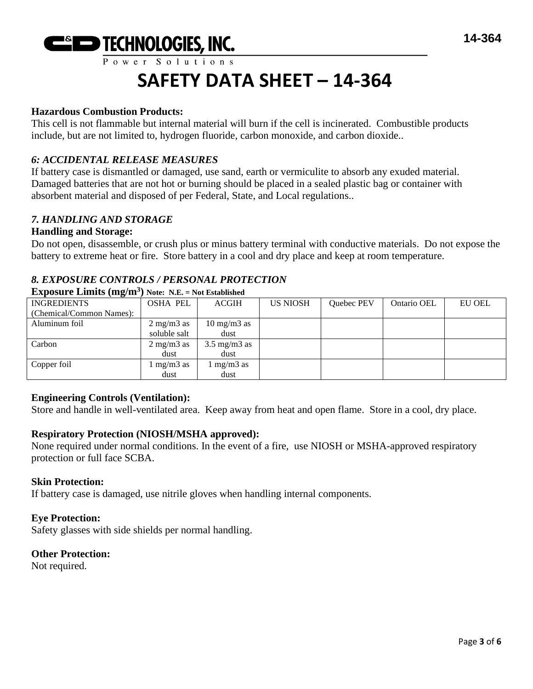# **SAFETY DATA SHEET – 14-364**

# **Hazardous Combustion Products:**

This cell is not flammable but internal material will burn if the cell is incinerated. Combustible products include, but are not limited to, hydrogen fluoride, carbon monoxide, and carbon dioxide..

# *6: ACCIDENTAL RELEASE MEASURES*

If battery case is dismantled or damaged, use sand, earth or vermiculite to absorb any exuded material. Damaged batteries that are not hot or burning should be placed in a sealed plastic bag or container with absorbent material and disposed of per Federal, State, and Local regulations..

# *7. HANDLING AND STORAGE*

### **Handling and Storage:**

Do not open, disassemble, or crush plus or minus battery terminal with conductive materials. Do not expose the battery to extreme heat or fire. Store battery in a cool and dry place and keep at room temperature.

# *8. EXPOSURE CONTROLS / PERSONAL PROTECTION*

| едрозите енициз (нез ни  | $1101C_1$ $11.12.1 = 1101$ Established |                         |                 |            |             |        |
|--------------------------|----------------------------------------|-------------------------|-----------------|------------|-------------|--------|
| <b>INGREDIENTS</b>       | <b>OSHA PEL</b>                        | <b>ACGIH</b>            | <b>US NIOSH</b> | Quebec PEV | Ontario OEL | EU OEL |
| (Chemical/Common Names): |                                        |                         |                 |            |             |        |
| Aluminum foil            | $2 \text{ mg/m}$ 3 as                  | $10 \text{ mg/m}$ 3 as  |                 |            |             |        |
|                          | soluble salt                           | dust                    |                 |            |             |        |
| Carbon                   | $2 \text{ mg/m}$ $3 \text{ as}$        | $3.5 \text{ mg/m}$ 3 as |                 |            |             |        |
|                          | dust                                   | dust                    |                 |            |             |        |
| Copper foil              | $mg/m3$ as                             | $mg/m3$ as              |                 |            |             |        |
|                          | dust                                   | dust                    |                 |            |             |        |

### **Exposure Limits (mg/m<sup>3</sup> ) Note: N.E. = Not Established**

# **Engineering Controls (Ventilation):**

Store and handle in well-ventilated area. Keep away from heat and open flame. Store in a cool, dry place.

# **Respiratory Protection (NIOSH/MSHA approved):**

None required under normal conditions. In the event of a fire, use NIOSH or MSHA-approved respiratory protection or full face SCBA.

#### **Skin Protection:**

If battery case is damaged, use nitrile gloves when handling internal components.

#### **Eye Protection:**

Safety glasses with side shields per normal handling.

#### **Other Protection:**

Not required.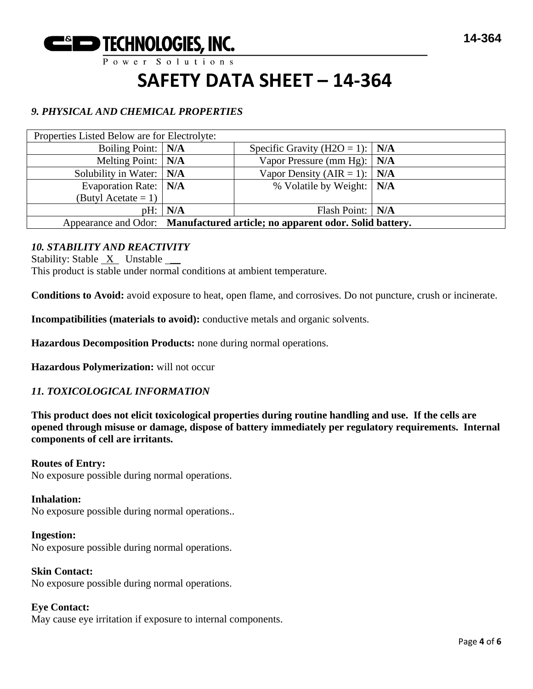

 $P$  ower Solutions

# **SAFETY DATA SHEET – 14-364**

# *9. PHYSICAL AND CHEMICAL PROPERTIES*

| Properties Listed Below are for Electrolyte:                                |           |                                        |     |
|-----------------------------------------------------------------------------|-----------|----------------------------------------|-----|
| Boiling Point:   N/A                                                        |           | Specific Gravity (H2O = 1): $\mid$ N/A |     |
| Melting Point: $\vert N/A \vert$                                            |           | Vapor Pressure (mm Hg):                | N/A |
| Solubility in Water:   N/A                                                  |           | Vapor Density (AIR = 1): $\vert$ N/A   |     |
| Evaporation Rate:   N/A                                                     |           | % Volatile by Weight:   N/A            |     |
| (Butyl Acetate = 1) $\vert$                                                 |           |                                        |     |
|                                                                             | pH:   N/A | Flash Point:   N/A                     |     |
| Appearance and Odor: Manufactured article; no apparent odor. Solid battery. |           |                                        |     |

# *10. STABILITY AND REACTIVITY*

Stability: Stable X Unstable

This product is stable under normal conditions at ambient temperature.

**Conditions to Avoid:** avoid exposure to heat, open flame, and corrosives. Do not puncture, crush or incinerate.

**Incompatibilities (materials to avoid):** conductive metals and organic solvents.

**Hazardous Decomposition Products:** none during normal operations.

**Hazardous Polymerization:** will not occur

# *11. TOXICOLOGICAL INFORMATION*

**This product does not elicit toxicological properties during routine handling and use. If the cells are opened through misuse or damage, dispose of battery immediately per regulatory requirements. Internal components of cell are irritants.**

#### **Routes of Entry:**

No exposure possible during normal operations.

#### **Inhalation:**

No exposure possible during normal operations..

**Ingestion:** No exposure possible during normal operations.

**Skin Contact:** No exposure possible during normal operations.

**Eye Contact:** May cause eye irritation if exposure to internal components.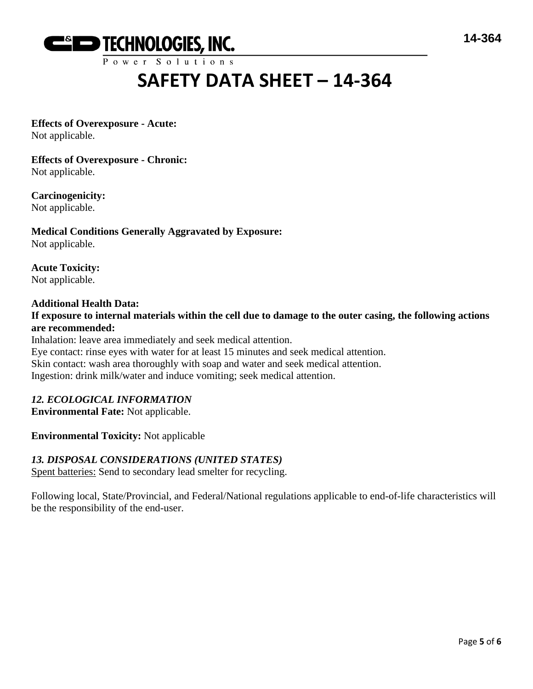

Power Solutions

# **SAFETY DATA SHEET – 14-364**

# **Effects of Overexposure - Acute:**

Not applicable.

**Effects of Overexposure - Chronic:** Not applicable.

**Carcinogenicity:** Not applicable.

**Medical Conditions Generally Aggravated by Exposure:** Not applicable.

**Acute Toxicity:** Not applicable.

# **Additional Health Data:**

**If exposure to internal materials within the cell due to damage to the outer casing, the following actions are recommended:**

Inhalation: leave area immediately and seek medical attention. Eye contact: rinse eyes with water for at least 15 minutes and seek medical attention. Skin contact: wash area thoroughly with soap and water and seek medical attention. Ingestion: drink milk/water and induce vomiting; seek medical attention.

# *12. ECOLOGICAL INFORMATION*

**Environmental Fate:** Not applicable.

**Environmental Toxicity:** Not applicable

# *13. DISPOSAL CONSIDERATIONS (UNITED STATES)*

Spent batteries: Send to secondary lead smelter for recycling.

Following local, State/Provincial, and Federal/National regulations applicable to end-of-life characteristics will be the responsibility of the end-user.